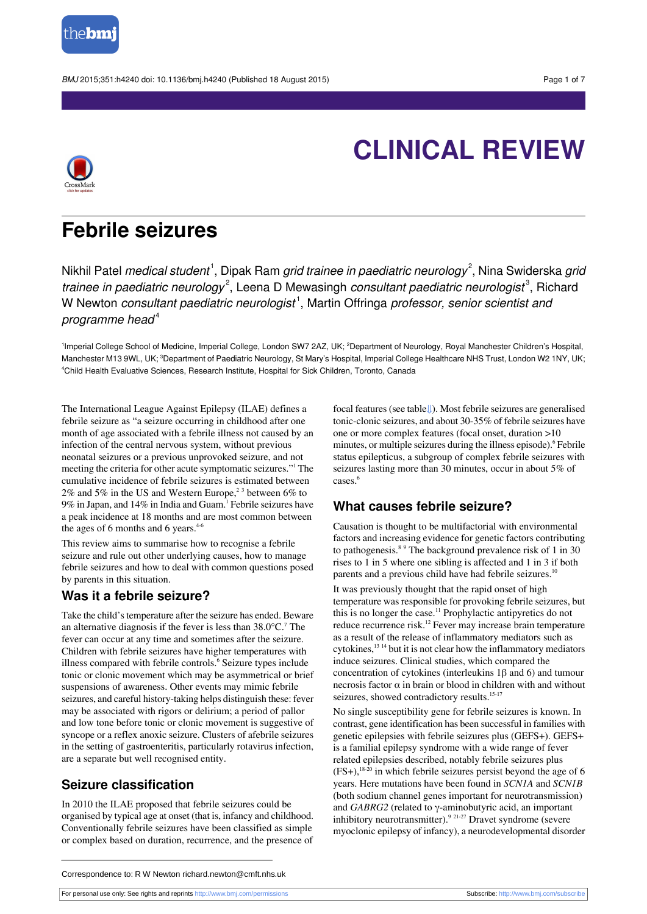

BMJ 2015;351:h4240 doi: 10.1136/bmj.h4240 (Published 18 August 2015) Page 1 of 7



# **CLINICAL REVIEW**

## **Febrile seizures**

Nikhil Patel *medical student*  $^1$ , Dipak Ram *grid trainee in paediatric neurology* $^2$ , Nina Swiderska *gri*a trainee in paediatric neurology<sup>2</sup>, Leena D Mewasingh consultant paediatric neurologist<sup>3</sup>, Richard W Newton *consultant paediatric neurologist* <sup>1</sup>, Martin Offringa *professor, senior scientist an*d programme head $4$ 

<sup>1</sup>Imperial College School of Medicine, Imperial College, London SW7 2AZ, UK; <sup>2</sup>Department of Neurology, Royal Manchester Children's Hospital, Manchester M13 9WL, UK; <sup>3</sup>Department of Paediatric Neurology, St Mary's Hospital, Imperial College Healthcare NHS Trust, London W2 1NY, UK; <sup>4</sup>Child Health Evaluative Sciences, Research Institute, Hospital for Sick Children, Toronto, Canada

The International League Against Epilepsy (ILAE) defines a febrile seizure as "a seizure occurring in childhood after one month of age associated with a febrile illness not caused by an infection of the central nervous system, without previous neonatal seizures or a previous unprovoked seizure, and not meeting the criteria for other acute symptomatic seizures."<sup>1</sup> The cumulative incidence of febrile seizures is estimated between 2% and 5% in the US and Western Europe,<sup>23</sup> between 6% to 9% in Japan, and 14% in India and Guam.<sup>1</sup> Febrile seizures have a peak incidence at 18 months and are most common between the ages of 6 months and 6 years.<sup>4-6</sup>

This review aims to summarise how to recognise a febrile seizure and rule out other underlying causes, how to manage febrile seizures and how to deal with common questions posed by parents in this situation.

## **Was it a febrile seizure?**

Take the child's temperature after the seizure has ended. Beware an alternative diagnosis if the fever is less than  $38.0^{\circ}$ C.<sup>7</sup> The fever can occur at any time and sometimes after the seizure. Children with febrile seizures have higher temperatures with illness compared with febrile controls.<sup>6</sup> Seizure types include tonic or clonic movement which may be asymmetrical or brief suspensions of awareness. Other events may mimic febrile seizures, and careful history-taking helps distinguish these: fever may be associated with rigors or delirium; a period of pallor and low tone before tonic or clonic movement is suggestive of syncope or a reflex anoxic seizure. Clusters of afebrile seizures in the setting of gastroenteritis, particularly rotavirus infection, are a separate but well recognised entity.

## **Seizure classification**

In 2010 the ILAE proposed that febrile seizures could be organised by typical age at onset (that is, infancy and childhood. Conventionally febrile seizures have been classified as simple or complex based on duration, recurrence, and the presence of focal features (see table[⇓\)](#page-6-0). Most febrile seizures are generalised tonic-clonic seizures, and about 30-35% of febrile seizures have one or more complex features (focal onset, duration >10 minutes, or multiple seizures during the illness episode).<sup>6</sup> Febrile status epilepticus, a subgroup of complex febrile seizures with seizures lasting more than 30 minutes, occur in about 5% of  $\csc^6$ 

## **What causes febrile seizure?**

Causation is thought to be multifactorial with environmental factors and increasing evidence for genetic factors contributing to pathogenesis.<sup>8 9</sup> The background prevalence risk of 1 in 30 rises to 1 in 5 where one sibling is affected and 1 in 3 if both parents and a previous child have had febrile seizures.<sup>10</sup>

It was previously thought that the rapid onset of high temperature was responsible for provoking febrile seizures, but this is no longer the case.<sup>11</sup> Prophylactic antipyretics do not reduce recurrence risk.<sup>12</sup> Fever may increase brain temperature as a result of the release of inflammatory mediators such as cytokines,  $^{13}$  <sup>14</sup> but it is not clear how the inflammatory mediators induce seizures. Clinical studies, which compared the concentration of cytokines (interleukins 1β and 6) and tumour necrosis factor α in brain or blood in children with and without seizures, showed contradictory results.<sup>15-17</sup>

No single susceptibility gene for febrile seizures is known. In contrast, gene identification has been successful in families with genetic epilepsies with febrile seizures plus (GEFS+). GEFS+ is a familial epilepsy syndrome with a wide range of fever related epilepsies described, notably febrile seizures plus  $(FS+)$ ,  $^{18-20}$  in which febrile seizures persist beyond the age of 6 years. Here mutations have been found in *SCN1A* and *SCN1B* (both sodium channel genes important for neurotransmission) and *GABRG2* (related to γ-aminobutyric acid, an important inhibitory neurotransmitter).<sup>9 21-27</sup> Dravet syndrome (severe myoclonic epilepsy of infancy), a neurodevelopmental disorder

For personal use only: See rights and reprints<http://www.bmj.com/permissions> Subscribe: <http://www.bmj.com/subscribe>

Correspondence to: R W Newton richard.newton@cmft.nhs.uk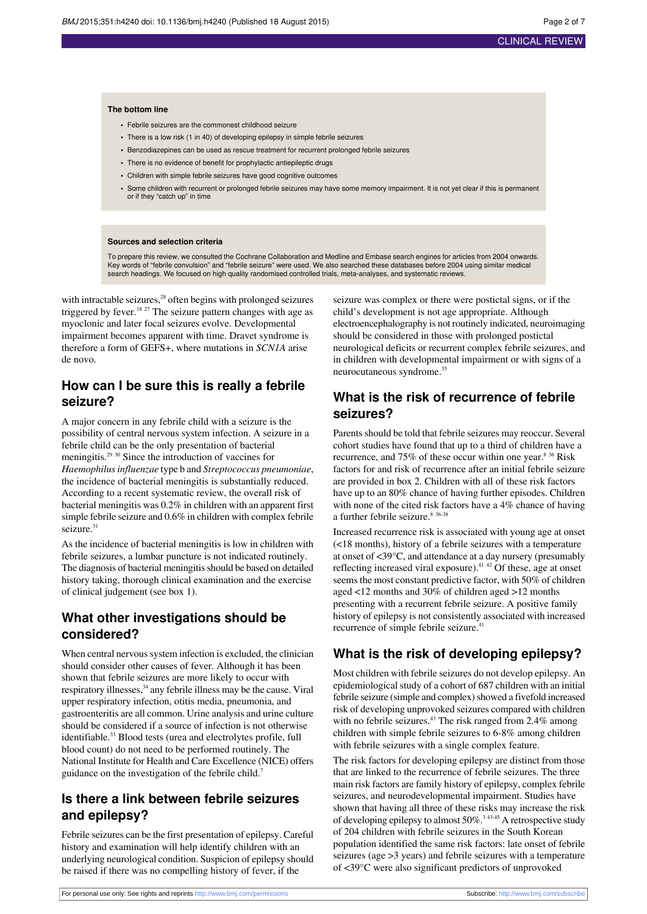#### **The bottom line**

- **•** Febrile seizures are the commonest childhood seizure
- **•** There is a low risk (1 in 40) of developing epilepsy in simple febrile seizures
- **•** Benzodiazepines can be used as rescue treatment for recurrent prolonged febrile seizures
- **•** There is no evidence of benefit for prophylactic antiepileptic drugs
- **•** Children with simple febrile seizures have good cognitive outcomes
- **•** Some children with recurrent or prolonged febrile seizures may have some memory impairment. It is not yet clear if this is permanent or if they "catch up" in time

#### **Sources and selection criteria**

To prepare this review, we consulted the Cochrane Collaboration and Medline and Embase search engines for articles from 2004 onwards. Key words of "febrile convulsion" and "febrile seizure" were used. We also searched these databases before 2004 using similar medical search headings. We focused on high quality randomised controlled trials, meta-analyses, and systematic reviews.

with intractable seizures,<sup>28</sup> often begins with prolonged seizures triggered by fever.<sup>18</sup> <sup>27</sup> The seizure pattern changes with age as myoclonic and later focal seizures evolve. Developmental impairment becomes apparent with time. Dravet syndrome is therefore a form of GEFS+, where mutations in *SCN1A* arise de novo.

## **How can I be sure this is really a febrile seizure?**

A major concern in any febrile child with a seizure is the possibility of central nervous system infection. A seizure in a febrile child can be the only presentation of bacterial meningitis.<sup>29</sup> <sup>30</sup> Since the introduction of vaccines for *Haemophilusinfluenzae* type b and *Streptococcus pneumoniae*, the incidence of bacterial meningitis is substantially reduced. According to a recent systematic review, the overall risk of bacterial meningitis was 0.2% in children with an apparent first simple febrile seizure and 0.6% in children with complex febrile seizure.<sup>31</sup>

As the incidence of bacterial meningitis is low in children with febrile seizures, a lumbar puncture is not indicated routinely. The diagnosis of bacterial meningitis should be based on detailed history taking, thorough clinical examination and the exercise of clinical judgement (see box 1).

## **What other investigations should be considered?**

When central nervous system infection is excluded, the clinician should consider other causes of fever. Although it has been shown that febrile seizures are more likely to occur with respiratory illnesses,<sup>34</sup> any febrile illness may be the cause. Viral upper respiratory infection, otitis media, pneumonia, and gastroenteritis are all common. Urine analysis and urine culture should be considered if a source of infection is not otherwise identifiable.<sup>33</sup> Blood tests (urea and electrolytes profile, full blood count) do not need to be performed routinely. The National Institute for Health and Care Excellence (NICE) offers guidance on the investigation of the febrile child.<sup>7</sup>

## **Is there a link between febrile seizures and epilepsy?**

Febrile seizures can be the first presentation of epilepsy. Careful history and examination will help identify children with an underlying neurological condition. Suspicion of epilepsy should be raised if there was no compelling history of fever, if the

seizure was complex or there were postictal signs, or if the child's development is not age appropriate. Although electroencephalography is not routinely indicated, neuroimaging should be considered in those with prolonged postictal neurological deficits or recurrent complex febrile seizures, and in children with developmental impairment or with signs of a neurocutaneous syndrome.<sup>35</sup>

## **What is the risk of recurrence of febrile seizures?**

Parents should be told that febrile seizures may reoccur. Several cohort studies have found that up to a third of children have a recurrence, and 75% of these occur within one year.<sup>8 36</sup> Risk factors for and risk of recurrence after an initial febrile seizure are provided in box 2. Children with all of these risk factors have up to an 80% chance of having further episodes. Children with none of the cited risk factors have a 4% chance of having a further febrile seizure.<sup>8 36-38</sup>

Increased recurrence risk is associated with young age at onset (<18 months), history of a febrile seizures with a temperature at onset of <39°C, and attendance at a day nursery (presumably reflecting increased viral exposure). $41/42$  Of these, age at onset seems the most constant predictive factor, with 50% of children aged <12 months and 30% of children aged >12 months presenting with a recurrent febrile seizure. A positive family history of epilepsy is not consistently associated with increased recurrence of simple febrile seizure.<sup>4</sup>

### **What is the risk of developing epilepsy?**

Most children with febrile seizures do not develop epilepsy. An epidemiological study of a cohort of 687 children with an initial febrile seizure (simple and complex) showed a fivefold increased risk of developing unprovoked seizures compared with children with no febrile seizures.<sup>43</sup> The risk ranged from 2.4% among children with simple febrile seizures to 6-8% among children with febrile seizures with a single complex feature.

The risk factors for developing epilepsy are distinct from those that are linked to the recurrence of febrile seizures. The three main risk factors are family history of epilepsy, complex febrile seizures, and neurodevelopmental impairment. Studies have shown that having all three of these risks may increase the risk of developing epilepsy to almost  $50\%$ <sup>3 43-45</sup> A retrospective study of 204 children with febrile seizures in the South Korean population identified the same risk factors: late onset of febrile seizures (age >3 years) and febrile seizures with a temperature of <39°C were also significant predictors of unprovoked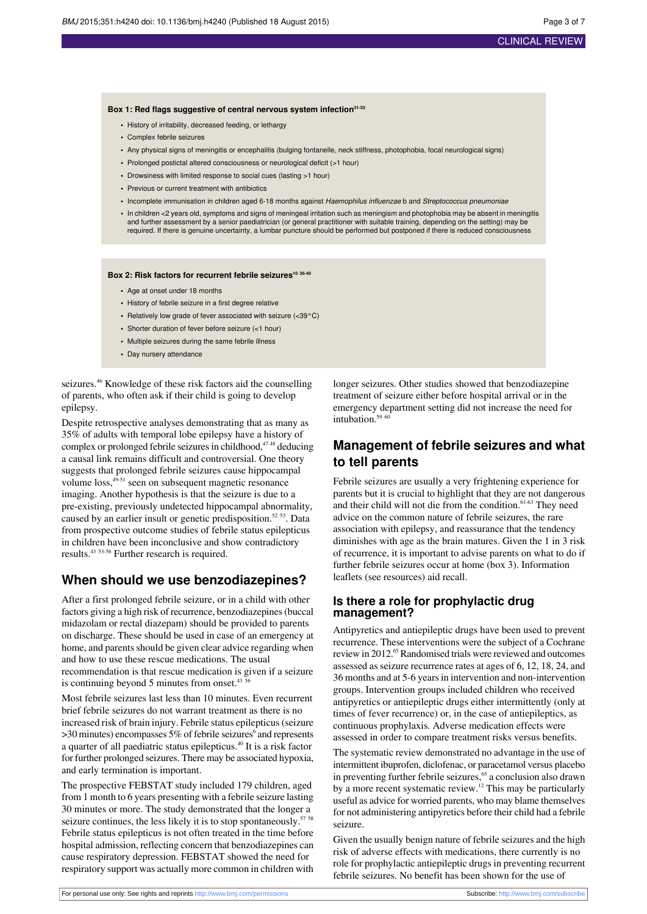#### **Box 1: Red flags suggestive of central nervous system infection31-33**

- **•** History of irritability, decreased feeding, or lethargy
- **•** Complex febrile seizures
- **•** Any physical signs of meningitis or encephalitis (bulging fontanelle, neck stiffness, photophobia, focal neurological signs)
- **•** Prolonged postictal altered consciousness or neurological deficit (>1 hour)
- **•** Drowsiness with limited response to social cues (lasting >1 hour)
- **•** Previous or current treatment with antibiotics
- **•** Incomplete immunisation in children aged 6-18 months against Haemophilus influenzae b and Streptococcus pneumoniae
- **•** In children <2 years old, symptoms and signs of meningeal irritation such as meningism and photophobia may be absent in meningitis and further assessment by a senior paediatrician (or general practitioner with suitable training, depending on the setting) may be required. If there is genuine uncertainty, a lumbar puncture should be performed but postponed if there is reduced consciousness

#### **Box 2: Risk factors for recurrent febrile seizures<sup>10</sup> 36-40**

- **•** Age at onset under 18 months
- **•** History of febrile seizure in a first degree relative
- **•** Relatively low grade of fever associated with seizure (<39°C)
- **•** Shorter duration of fever before seizure (<1 hour)
- **•** Multiple seizures during the same febrile illness
- **•** Day nursery attendance

seizures.<sup>46</sup> Knowledge of these risk factors aid the counselling of parents, who often ask if their child is going to develop epilepsy.

Despite retrospective analyses demonstrating that as many as 35% of adults with temporal lobe epilepsy have a history of complex or prolonged febrile seizures in childhood, $47.48$  deducing a causal link remains difficult and controversial. One theory suggests that prolonged febrile seizures cause hippocampal volume  $loss$ ,  $49-51$  seen on subsequent magnetic resonance imaging. Another hypothesis is that the seizure is due to a pre-existing, previously undetected hippocampal abnormality, caused by an earlier insult or genetic predisposition.<sup>52</sup> <sup>53</sup>. Data from prospective outcome studies of febrile status epilepticus in children have been inconclusive and show contradictory results.<sup>43</sup> 53-56 Further research is required.

### **When should we use benzodiazepines?**

After a first prolonged febrile seizure, or in a child with other factors giving a high risk of recurrence, benzodiazepines(buccal midazolam or rectal diazepam) should be provided to parents on discharge. These should be used in case of an emergency at home, and parents should be given clear advice regarding when and how to use these rescue medications. The usual recommendation is that rescue medication is given if a seizure is continuing beyond  $5$  minutes from onset. $43$ 

Most febrile seizures last less than 10 minutes. Even recurrent brief febrile seizures do not warrant treatment as there is no increased risk of brain injury. Febrile status epilepticus(seizure  $>$ 30 minutes) encompasses 5% of febrile seizures $\degree$  and represents a quarter of all paediatric status epilepticus.<sup>40</sup> It is a risk factor for further prolonged seizures. There may be associated hypoxia, and early termination is important.

The prospective FEBSTAT study included 179 children, aged from 1 month to 6 years presenting with a febrile seizure lasting 30 minutes or more. The study demonstrated that the longer a seizure continues, the less likely it is to stop spontaneously.<sup>57 58</sup> Febrile status epilepticus is not often treated in the time before hospital admission, reflecting concern that benzodiazepines can cause respiratory depression. FEBSTAT showed the need for respiratory support was actually more common in children with

longer seizures. Other studies showed that benzodiazepine treatment of seizure either before hospital arrival or in the emergency department setting did not increase the need for intubation. $596$ 

## **Management of febrile seizures and what to tell parents**

Febrile seizures are usually a very frightening experience for parents but it is crucial to highlight that they are not dangerous and their child will not die from the condition.<sup>61-63</sup> They need advice on the common nature of febrile seizures, the rare association with epilepsy, and reassurance that the tendency diminishes with age as the brain matures. Given the 1 in 3 risk of recurrence, it is important to advise parents on what to do if further febrile seizures occur at home (box 3). Information leaflets (see resources) aid recall.

#### **Is there a role for prophylactic drug management?**

Antipyretics and antiepileptic drugs have been used to prevent recurrence. These interventions were the subject of a Cochrane review in 2012.<sup>65</sup> Randomised trials were reviewed and outcomes assessed as seizure recurrence rates at ages of 6, 12, 18, 24, and 36 months and at 5-6 yearsin intervention and non-intervention groups. Intervention groups included children who received antipyretics or antiepileptic drugs either intermittently (only at times of fever recurrence) or, in the case of antiepileptics, as continuous prophylaxis. Adverse medication effects were assessed in order to compare treatment risks versus benefits.

The systematic review demonstrated no advantage in the use of intermittent ibuprofen, diclofenac, or paracetamol versus placebo in preventing further febrile seizures,<sup>65</sup> a conclusion also drawn by a more recent systematic review.<sup>12</sup> This may be particularly useful as advice for worried parents, who may blame themselves for not administering antipyretics before their child had a febrile seizure.

Given the usually benign nature of febrile seizures and the high risk of adverse effects with medications, there currently is no role for prophylactic antiepileptic drugs in preventing recurrent febrile seizures. No benefit has been shown for the use of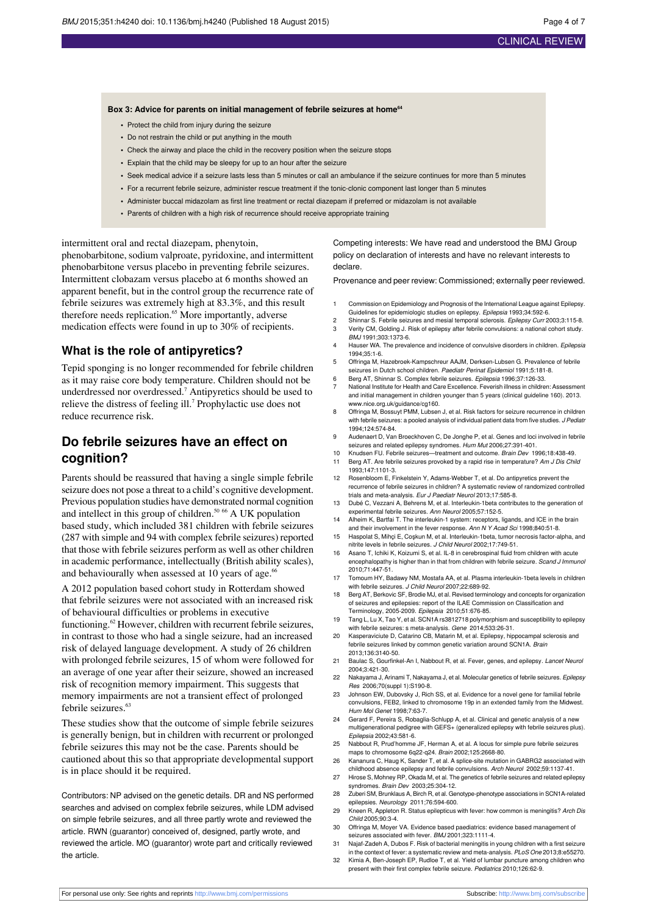#### **Box 3: Advice for parents on initial management of febrile seizures at home<sup>64</sup>**

- **•** Protect the child from injury during the seizure
- **•** Do not restrain the child or put anything in the mouth
- **•** Check the airway and place the child in the recovery position when the seizure stops
- **•** Explain that the child may be sleepy for up to an hour after the seizure
- **•** Seek medical advice if a seizure lasts less than 5 minutes or call an ambulance if the seizure continues for more than 5 minutes
- **•** For a recurrent febrile seizure, administer rescue treatment if the tonic-clonic component last longer than 5 minutes
- **•** Administer buccal midazolam as first line treatment or rectal diazepam if preferred or midazolam is not available
- **•** Parents of children with a high risk of recurrence should receive appropriate training

intermittent oral and rectal diazepam, phenytoin, phenobarbitone, sodium valproate, pyridoxine, and intermittent phenobarbitone versus placebo in preventing febrile seizures. Intermittent clobazam versus placebo at 6 months showed an apparent benefit, but in the control group the recurrence rate of febrile seizures was extremely high at 83.3%, and this result therefore needs replication.<sup>65</sup> More importantly, adverse medication effects were found in up to 30% of recipients.

#### **What is the role of antipyretics?**

Tepid sponging is no longer recommended for febrile children as it may raise core body temperature. Children should not be underdressed nor overdressed.<sup>7</sup> Antipyretics should be used to relieve the distress of feeling ill.<sup>7</sup> Prophylactic use does not reduce recurrence risk.

## **Do febrile seizures have an effect on cognition?**

Parents should be reassured that having a single simple febrile seizure does not pose a threat to a child's cognitive development. Previous population studies have demonstrated normal cognition and intellect in this group of children.<sup>50 66</sup> A UK population based study, which included 381 children with febrile seizures (287 with simple and 94 with complex febrile seizures) reported that those with febrile seizures perform as well as other children in academic performance, intellectually (British ability scales), and behaviourally when assessed at 10 years of age. $66$ 

A 2012 population based cohort study in Rotterdam showed that febrile seizures were not associated with an increased risk of behavioural difficulties or problems in executive functioning.<sup>62</sup> However, children with recurrent febrile seizures, in contrast to those who had a single seizure, had an increased risk of delayed language development. A study of 26 children with prolonged febrile seizures, 15 of whom were followed for an average of one year after their seizure, showed an increased risk of recognition memory impairment. This suggests that memory impairments are not a transient effect of prolonged febrile seizures.<sup>63</sup>

These studies show that the outcome of simple febrile seizures is generally benign, but in children with recurrent or prolonged febrile seizures this may not be the case. Parents should be cautioned about this so that appropriate developmental support is in place should it be required.

Contributors: NP advised on the genetic details. DR and NS performed searches and advised on complex febrile seizures, while LDM advised on simple febrile seizures, and all three partly wrote and reviewed the article. RWN (guarantor) conceived of, designed, partly wrote, and reviewed the article. MO (guarantor) wrote part and critically reviewed the article.

Competing interests: We have read and understood the BMJ Group policy on declaration of interests and have no relevant interests to declare.

Provenance and peer review: Commissioned; externally peer reviewed.

- 1 Commission on Epidemiology and Prognosis of the International League against Epilepsy. Guidelines for epidemiologic studies on epilepsy. Epilepsia 1993;34:592-6.
- 2 Shinnar S. Febrile seizures and mesial temporal sclerosis. Epilepsy Curr 2003;3:115-8. 3 Verity CM, Golding J. Risk of epilepsy after febrile convulsions: a national cohort study. BMJ 1991;303:1373-6.
- 4 Hauser WA. The prevalence and incidence of convulsive disorders in children. *Epilensia* 1994;35:1-6.
- 5 Offringa M, Hazebroek-Kampschreur AAJM, Derksen-Lubsen G. Prevalence of febrile seizures in Dutch school children. Paediatr Perinat Epidemiol 1991;5:181-8.
- 6 Berg AT, Shinnar S. Complex febrile seizures. Epilepsia 1996;37:126-33. National Institute for Health and Care Excellence. Feverish illness in children: Assessment
- and initial management in children younger than 5 years (clinical guideline 160). 2013. [www.nice.org.uk/guidance/cg160](http://www.nice.org.uk/guidance/cg160). 8 Offringa M, Bossuyt PMM, Lubsen J, et al. Risk factors for seizure recurrence in children
- with febrile seizures: a pooled analysis of individual patient data from five studies. J Pediat 1994;124:574-84. 9 Audenaert D, Van Broeckhoven C, De Jonghe P, et al. Genes and loci involved in febrile
- seizures and related epilepsy syndromes. Hum Mut 2006;27:391-401. 10 Knudsen FU. Febrile seizures—treatment and outcome. Brain Dev 1996;18:438-49.
- 11 Berg AT. Are febrile seizures provoked by a rapid rise in temperature? Am J Dis Child 1993;147:1101-3.
- 12 Rosenbloom E, Finkelstein Y, Adams-Webber T, et al. Do antipyretics prevent the recurrence of febrile seizures in children? A systematic review of randomized controlled trials and meta-analysis. Eur J Paediatr Neurol 2013;17:585-8.
- 13 Dubé C, Vezzani A, Behrens M, et al. Interleukin-1beta contributes to the generation of experimental febrile seizures. Ann Neurol 2005;57:152-5.
- 14 Alheim K, Bartfai T. The interleukin-1 system: receptors, ligands, and ICE in the brain and their involvement in the fever response. Ann N Y Acad Sci 1998;840:51-8.
- 15 Haspolat S, Mihçi E, Coşkun M, et al. Interleukin-1beta, tumor necrosis factor-alpha, and nitrite levels in febrile seizures. J Child Neurol 2002;17:749-51.
- 16 Asano T, Ichiki K, Koizumi S, et al. IL-8 in cerebrospinal fluid from children with acute encephalopathy is higher than in that from children with febrile seizure. Scand J Immunol 2010;71:447-51.
- 17 Tomoum HY, Badawy NM, Mostafa AA, et al. Plasma interleukin-1beta levels in children with febrile seizures. J Child Neurol 2007;22:689-92.
- 18 Berg AT, Berkovic SF, Brodie MJ, et al. Revised terminology and concepts for organization of seizures and epilepsies: report of the ILAE Commission on Classification and Terminology, 2005-2009. Epilepsia 2010;51:676-85.
- 19 Tang L, Lu X, Tao Y, et al. SCN1A rs3812718 polymorphism and susceptibility to epilepsy with febrile seizures: s meta-analysis. Gene 2014;533:26-31.
- 20 Kasperaviciute D, Catarino CB, Matarin M, et al. Epilepsy, hippocampal sclerosis and febrile seizures linked by common genetic variation around SCN1A. Brain 2013;136:3140-50.
- 21 Baulac S, Gourfinkel-An I, Nabbout R, et al. Fever, genes, and epilepsy. Lancet Neurol 2004;3:421-30.
- 22 Nakayama J, Arinami T, Nakayama J, et al. Molecular genetics of febrile seizures. Epilepsy Res 2006;70(suppl 1):S190-8.
- 23 Johnson EW, Dubovsky J, Rich SS, et al. Evidence for a novel gene for familial febrile convulsions, FEB2, linked to chromosome 19p in an extended family from the Midwest. Hum Mol Genet 1998;7:63-7.
- 24 Gerard F, Pereira S, Robaglia-Schlupp A, et al. Clinical and genetic analysis of a new multigenerational pedigree with GEFS+ (generalized epilepsy with febrile seizures plus). Epilepsia 2002;43:581-6.
- 25 Nabbout R, Prud'homme JF, Herman A, et al. A locus for simple pure febrile seizures maps to chromosome 6q22-q24. Brain 2002;125:2668-80.
- 26 Kananura C, Haug K, Sander T, et al. A splice-site mutation in GABRG2 associated with
- childhood absence epilepsy and febrile convulsions. Arch Neurol 2002;59:1137-41. 27 Hirose S, Mohney RP, Okada M, et al. The genetics of febrile seizures and related epilepsy syndromes. Brain Dev 2003;25:304-12.
- 28 Zuberi SM, Brunklaus A, Birch R, et al. Genotype-phenotype associations in SCN1A-related epilepsies. Neurology 2011;76:594-600.
- 29 Kneen R, Appleton R. Status epilepticus with fever: how common is meningitis? Arch Dis Child 2005;90:3-4.
- 30 Offringa M, Moyer VA. Evidence based paediatrics: evidence based management of seizures associated with fever. BMJ 2001;323:1111-4.
- 31 Najaf-Zadeh A, Dubos F. Risk of bacterial meningitis in young children with a first seizure in the context of fever: a systematic review and meta-analysis. PLoS One 2013;8:e55270.
- 32 Kimia A, Ben-Joseph EP, Rudloe T, et al. Yield of lumbar puncture among children who present with their first complex febrile seizure. Pediatrics 2010;126:62-9.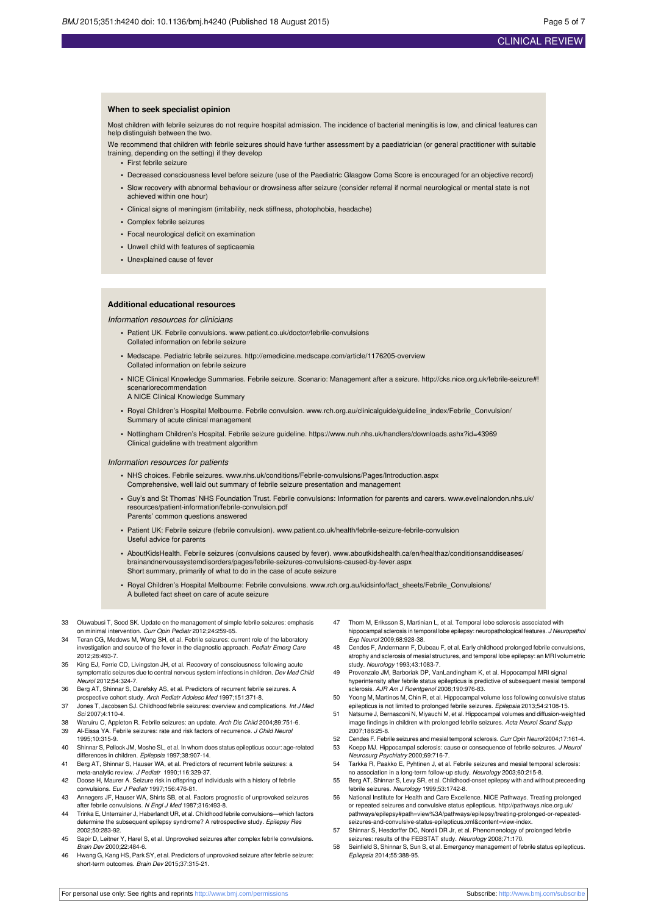### CLINICAL REVIEW

#### **When to seek specialist opinion**

Most children with febrile seizures do not require hospital admission. The incidence of bacterial meningitis is low, and clinical features can help distinguish between the two.

We recommend that children with febrile seizures should have further assessment by a paediatrician (or general practitioner with suitable training, depending on the setting) if they develop

**•** First febrile seizure

- **•** Decreased consciousness level before seizure (use of the Paediatric Glasgow Coma Score is encouraged for an objective record)
- **•** Slow recovery with abnormal behaviour or drowsiness after seizure (consider referral if normal neurological or mental state is not achieved within one hour)
- **•** Clinical signs of meningism (irritability, neck stiffness, photophobia, headache)
- **•** Complex febrile seizures
- **•** Focal neurological deficit on examination
- **•** Unwell child with features of septicaemia
- **•** Unexplained cause of fever

#### **Additional educational resources**

#### Information resources for clinicians

- **•** Patient UK. Febrile convulsions. [www.patient.co.uk/doctor/febrile-convulsions](http://www.patient.co.uk/doctor/febrile-convulsions) Collated information on febrile seizure
- **•** Medscape. Pediatric febrile seizures. <http://emedicine.medscape.com/article/1176205-overview> Collated information on febrile seizure
- **•** NICE Clinical Knowledge Summaries. Febrile seizure. Scenario: Management after a seizure. [http://cks.nice.org.uk/febrile-seizure#!](http://cks.nice.org.uk/febrile-seizure#%21scenariorecommendation) [scenariorecommendation](http://cks.nice.org.uk/febrile-seizure#%21scenariorecommendation)
- A NICE Clinical Knowledge Summary
- Royal Children's Hospital Melbourne. Febrile convulsion. www.rch.org.au/clinicalguide/quideline\_index/Febrile\_Convulsion/ Summary of acute clinical management
- Nottingham Children's Hospital. Febrile seizure guideline. https://www.nuh.nhs.uk/handlers/downloads.ashx?id=43969 Clinical guideline with treatment algorithm

#### Information resources for patients

- **•** NHS choices. Febrile seizures. [www.nhs.uk/conditions/Febrile-convulsions/Pages/Introduction.aspx](http://www.nhs.uk/conditions/Febrile-convulsions/Pages/Introduction.aspx) Comprehensive, well laid out summary of febrile seizure presentation and management
- **•** Guy's and St Thomas' NHS Foundation Trust. Febrile convulsions: Information for parents and carers. [www.evelinalondon.nhs.uk/](http://www.evelinalondon.nhs.uk/resources/patient-information/febrile-convulsion.pdf) [resources/patient-information/febrile-convulsion.pdf](http://www.evelinalondon.nhs.uk/resources/patient-information/febrile-convulsion.pdf) Parents' common questions answered
- **•** Patient UK: Febrile seizure (febrile convulsion). [www.patient.co.uk/health/febrile-seizure-febrile-convulsion](http://www.patient.co.uk/health/febrile-seizure-febrile-convulsion) Useful advice for parents
- AboutKidsHealth. Febrile seizures (convulsions caused by fever). [www.aboutkidshealth.ca/en/healthaz/conditionsanddiseases/](http://www.aboutkidshealth.ca/en/healthaz/conditionsanddiseases/brainandnervoussystemdisorders/pages/febrile-seizures-convulsions-caused-by-fever.aspx) [brainandnervoussystemdisorders/pages/febrile-seizures-convulsions-caused-by-fever.aspx](http://www.aboutkidshealth.ca/en/healthaz/conditionsanddiseases/brainandnervoussystemdisorders/pages/febrile-seizures-convulsions-caused-by-fever.aspx) Short summary, primarily of what to do in the case of acute seizure
- **•** Royal Children's Hospital Melbourne: Febrile convulsions. [www.rch.org.au/kidsinfo/fact\\_sheets/Febrile\\_Convulsions/](http://www.rch.org.au/kidsinfo/fact_sheets/Febrile_Convulsions/) A bulleted fact sheet on care of acute seizure
- 33 Oluwabusi T, Sood SK. Update on the management of simple febrile seizures: emphasis on minimal intervention. Curr Opin Pediatr 2012;24:259-65.
- 34 Teran CG, Medows M, Wong SH, et al. Febrile seizures: current role of the laboratory investigation and source of the fever in the diagnostic approach. Pediatr Emerg Care 2012;28:493-7.
- 35 King EJ, Ferrie CD, Livingston JH, et al. Recovery of consciousness following acute symptomatic seizures due to central nervous system infections in children. Dev Med Child Neurol 2012;54:324-7.
- 36 Berg AT, Shinnar S, Darefsky AS, et al. Predictors of recurrent febrile seizures. A prospective cohort study. Arch Pediatr Adolesc Med 1997;151:371-8.
- 37 Jones T, Jacobsen SJ. Childhood febrile seizures: overview and complications. Int J Med Sci 2007;4:110-4.
- 38 Waruiru C, Appleton R. Febrile seizures: an update. Arch Dis Child 2004;89:751-6.<br>39 Al-Eissa YA. Febrile seizures: rate and risk factors of recurrence. J Child Neurol Al-Eissa YA. Febrile seizures: rate and risk factors of recurrence. J Child Neurol
- 1995;10:315-9. 40 Shinnar S, Pellock JM, Moshe SL, et al. In whom does status epilepticus occur: age-related differences in children. Epilepsia 1997;38:907-14.
- 41 Berg AT, Shinnar S, Hauser WA, et al. Predictors of recurrent febrile seizures: a meta-analytic review. J Pediatr 1990;116:329-37.
- 42 Doose H, Maurer A. Seizure risk in offspring of individuals with a history of febrile convulsions. Eur J Pediatr 1997;156:476-81.
- 43 Annegers JF, Hauser WA, Shirts SB, et al. Factors prognostic of unprovoked seizures after febrile convulsions. N Engl J Med 1987;316:493-8.
- 44 Trinka E, Unterrainer J, Haberlandt UR, et al. Childhood febrile convulsions—which factors determine the subsequent epilepsy syndrome? A retrospective study. Epilepsy Res 2002;50:283-92.
- 45 Sapir D, Leitner Y, Harel S, et al. Unprovoked seizures after complex febrile convulsions. Brain Dev 2000;22:484-6.
- 46 Hwang G, Kang HS, Park SY, et al. Predictors of unprovoked seizure after febrile seizure: short-term outcomes. Brain Dev 2015;37:315-21.
- 47 Thom M, Eriksson S, Martinian L, et al. Temporal lobe sclerosis associated with hippocampal sclerosis in temporal lobe epilepsy: neuropathological features. J Neuro Exp Neurol 2009;68:928-38.
- 48 Cendes F, Andermann F, Dubeau F, et al. Early childhood prolonged febrile convulsions, atrophy and sclerosis of mesial structures, and temporal lobe epilepsy: an MRI volumetric study. Neurology 1993;43:1083-7.
- 49 Provenzale JM, Barboriak DP, VanLandingham K, et al. Hippocampal MRI signal hyperintensity after febrile status epilepticus is predictive of subsequent mesial temporal sclerosis. AJR Am J Roentgenol 2008;190:976-83.
- Yoong M, Martinos M, Chin R, et al. Hippocampal volume loss following convulsive status epilepticus is not limited to prolonged febrile seizures. Epilepsia 2013;54:2108-15.
- 51 Natsume J, Bernasconi N, Miyauchi M, et al. Hippocampal volumes and diffusion-weighted image findings in children with prolonged febrile seizures. Acta Neurol Scand Supp 2007;186:25-8.
- 52 Cendes F. Febrile seizures and mesial temporal sclerosis. Curr Opin Neurol 2004;17:161-4. 53 Koepp MJ. Hippocampal sclerosis: cause or consequence of febrile seizures. J Neurol Neurosurg Psychiatry 2000;69:716-7.
- 54 Tarkka R, Paakko E, Pyhtinen J, et al. Febrile seizures and mesial temporal sclerosis: no association in a long-term follow-up study. Neurology 2003;60:215-8.
- 55 Berg AT, Shinnar S, Levy SR, et al. Childhood-onset epilepsy with and without preceeding febrile seizures. Neurology 1999;53:1742-8.
- 56 National Institute for Health and Care Excellence. NICE Pathways. Treating prolonged or repeated seizures and convulsive status epilepticus. [http://pathways.nice.org.uk/](http://pathways.nice.org.uk/pathways/epilepsy#path=view%3A/pathways/epilepsy/treating-prolonged-or-repeated-seizures-and-convulsive-status-epilepticus.xml&content=view-index) [pathways/epilepsy#path=view%3A/pathways/epilepsy/treating-prolonged-or-repeated](http://pathways.nice.org.uk/pathways/epilepsy#path=view%3A/pathways/epilepsy/treating-prolonged-or-repeated-seizures-and-convulsive-status-epilepticus.xml&content=view-index)[seizures-and-convulsive-status-epilepticus.xml&content=view-index.](http://pathways.nice.org.uk/pathways/epilepsy#path=view%3A/pathways/epilepsy/treating-prolonged-or-repeated-seizures-and-convulsive-status-epilepticus.xml&content=view-index)
- 57 Shinnar S, Hesdorffer DC, Nordli DR Jr, et al. Phenomenology of prolonged febrile seizures: results of the FEBSTAT study. Neurology 2008;71:170.
- 58 Seinfield S, Shinnar S, Sun S, et al. Emergency management of febrile status epilepticus. Epilepsia 2014;55:388-95.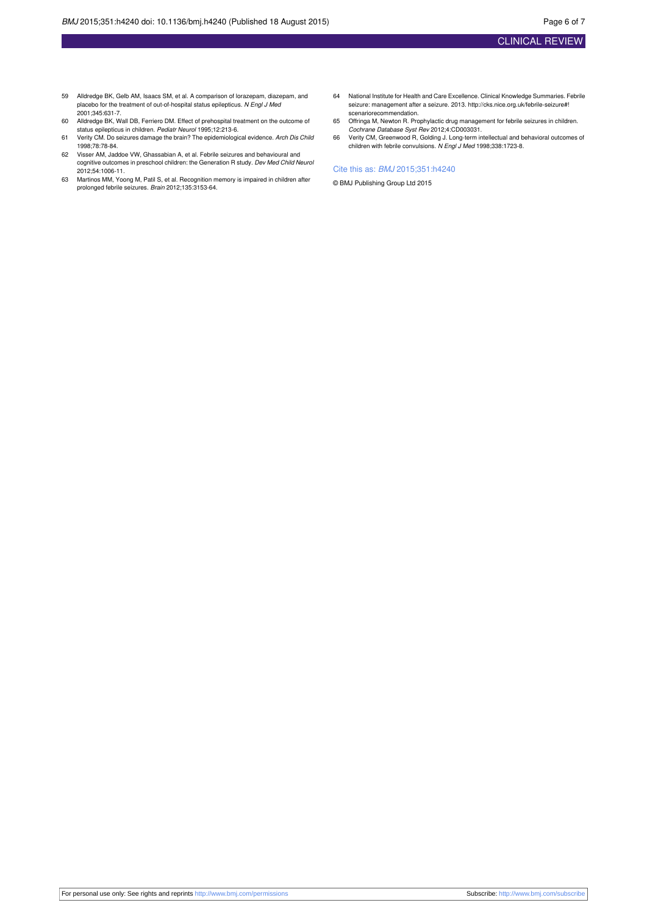- 59 Alldredge BK, Gelb AM, Isaacs SM, et al. A comparison of lorazepam, diazepam, and placebo for the treatment of out-of-hospital status epilepticus. N Engl J Med 2001;345:631-7.
- 60 Alldredge BK, Wall DB, Ferriero DM. Effect of prehospital treatment on the outcome of status epilepticus in children. Pediatr Neurol 1995;12:213-6.
- 61 Verity CM. Do seizures damage the brain? The epidemiological evidence. Arch Dis Child 1998;78:78-84.
- 62 Visser AM, Jaddoe VW, Ghassabian A, et al. Febrile seizures and behavioural and cognitive outcomes in preschool children: the Generation R study*. Dev Med Child Neurol*<br>2012;54:1006-11.
- 63 Martinos MM, Yoong M, Patil S, et al. Recognition memory is impaired in children after prolonged febrile seizures. Brain 2012;135:3153-64.
- 64 National Institute for Health and Care Excellence. Clinical Knowledge Summaries. Febrile seizure: management after a seizure. 2013. [http://cks.nice.org.uk/febrile-seizure#!](http://cks.nice.org.uk/febrile-seizure#!scenariorecommendation) [scenariorecommendation.](http://cks.nice.org.uk/febrile-seizure#!scenariorecommendation)
- 65 Offringa M, Newton R. Prophylactic drug management for febrile seizures in children.
- Cochrane Database Syst Rev 2012;4:CD003031.<br>66 Verity CM, Greenwood R, Golding J. Long-term intellectual and behavioral outcomes of children with febrile convulsions. N Engl J Med 1998;338:1723-8.

#### Cite this as: BMJ 2015;351:h4240

© BMJ Publishing Group Ltd 2015